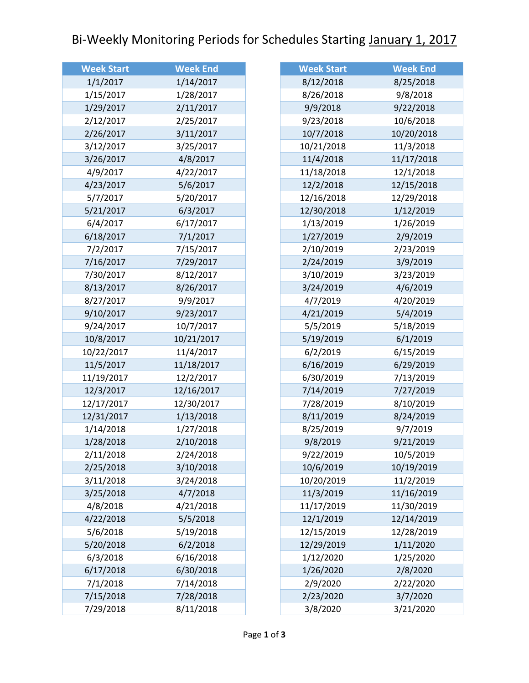## Bi-Weekly Monitoring Periods for Schedules Starting January 1, 2017

| <b>Week Start</b> | <b>Week End</b> |
|-------------------|-----------------|
| 1/1/2017          | 1/14/2017       |
| 1/15/2017         | 1/28/2017       |
| 1/29/2017         | 2/11/2017       |
| 2/12/2017         | 2/25/2017       |
| 2/26/2017         | 3/11/2017       |
| 3/12/2017         | 3/25/2017       |
| 3/26/2017         | 4/8/2017        |
| 4/9/2017          | 4/22/2017       |
| 4/23/2017         | 5/6/2017        |
| 5/7/2017          | 5/20/2017       |
| 5/21/2017         | 6/3/2017        |
| 6/4/2017          | 6/17/2017       |
| 6/18/2017         | 7/1/2017        |
| 7/2/2017          | 7/15/2017       |
| 7/16/2017         | 7/29/2017       |
| 7/30/2017         | 8/12/2017       |
| 8/13/2017         | 8/26/2017       |
| 8/27/2017         | 9/9/2017        |
| 9/10/2017         | 9/23/2017       |
| 9/24/2017         | 10/7/2017       |
| 10/8/2017         | 10/21/2017      |
| 10/22/2017        | 11/4/2017       |
| 11/5/2017         | 11/18/2017      |
| 11/19/2017        | 12/2/2017       |
| 12/3/2017         | 12/16/2017      |
| 12/17/2017        | 12/30/2017      |
| 12/31/2017        | 1/13/2018       |
| 1/14/2018         | 1/27/2018       |
| 1/28/2018         | 2/10/2018       |
| 2/11/2018         | 2/24/2018       |
| 2/25/2018         | 3/10/2018       |
| 3/11/2018         | 3/24/2018       |
| 3/25/2018         | 4/7/2018        |
| 4/8/2018          | 4/21/2018       |
| 4/22/2018         | 5/5/2018        |
| 5/6/2018          | 5/19/2018       |
| 5/20/2018         | 6/2/2018        |
| 6/3/2018          | 6/16/2018       |
| 6/17/2018         | 6/30/2018       |
| 7/1/2018          | 7/14/2018       |
| 7/15/2018         | 7/28/2018       |
| 7/29/2018         | 8/11/2018       |

| <b>Week End</b> |
|-----------------|
| 8/25/2018       |
| 9/8/2018        |
| 9/22/2018       |
| 10/6/2018       |
| 10/20/2018      |
| 11/3/2018       |
| 11/17/2018      |
| 12/1/2018       |
| 12/15/2018      |
| 12/29/2018      |
| 1/12/2019       |
| 1/26/2019       |
| 2/9/2019        |
| 2/23/2019       |
| 3/9/2019        |
| 3/23/2019       |
| 4/6/2019        |
| 4/20/2019       |
| 5/4/2019        |
| 5/18/2019       |
| 6/1/2019        |
| 6/15/2019       |
| 6/29/2019       |
| 7/13/2019       |
| 7/27/2019       |
| 8/10/2019       |
| 8/24/2019       |
| 9/7/2019        |
| 9/21/2019       |
| 10/5/2019       |
| 10/19/2019      |
| 11/2/2019       |
| 11/16/2019      |
| 11/30/2019      |
| 12/14/2019      |
| 12/28/2019      |
| 1/11/2020       |
| 1/25/2020       |
| 2/8/2020        |
| 2/22/2020       |
| 3/7/2020        |
| 3/21/2020       |
|                 |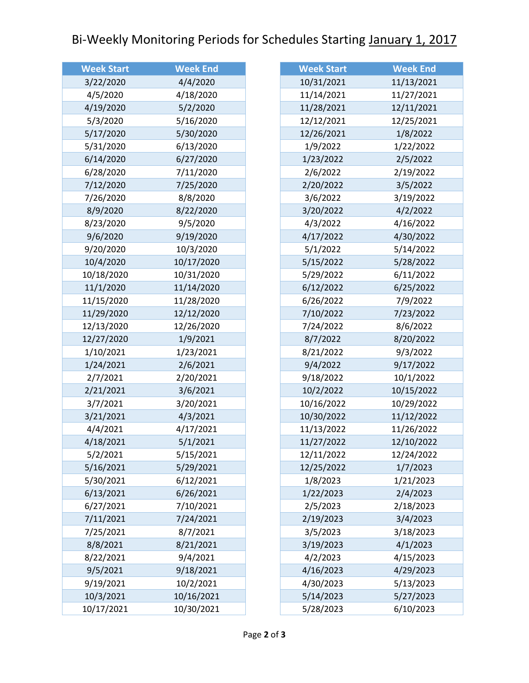## Bi-Weekly Monitoring Periods for Schedules Starting January 1, 2017

| <b>Week Start</b> | <b>Week End</b> |
|-------------------|-----------------|
| 3/22/2020         | 4/4/2020        |
| 4/5/2020          | 4/18/2020       |
| 4/19/2020         | 5/2/2020        |
| 5/3/2020          | 5/16/2020       |
| 5/17/2020         | 5/30/2020       |
| 5/31/2020         | 6/13/2020       |
| 6/14/2020         | 6/27/2020       |
| 6/28/2020         | 7/11/2020       |
| 7/12/2020         | 7/25/2020       |
| 7/26/2020         | 8/8/2020        |
| 8/9/2020          | 8/22/2020       |
| 8/23/2020         | 9/5/2020        |
| 9/6/2020          | 9/19/2020       |
| 9/20/2020         | 10/3/2020       |
| 10/4/2020         | 10/17/2020      |
| 10/18/2020        | 10/31/2020      |
| 11/1/2020         | 11/14/2020      |
| 11/15/2020        | 11/28/2020      |
| 11/29/2020        | 12/12/2020      |
| 12/13/2020        | 12/26/2020      |
| 12/27/2020        | 1/9/2021        |
| 1/10/2021         | 1/23/2021       |
| 1/24/2021         | 2/6/2021        |
| 2/7/2021          | 2/20/2021       |
| 2/21/2021         | 3/6/2021        |
| 3/7/2021          | 3/20/2021       |
| 3/21/2021         | 4/3/2021        |
| 4/4/2021          | 4/17/2021       |
| 4/18/2021         | 5/1/2021        |
| 5/2/2021          | 5/15/2021       |
| 5/16/2021         | 5/29/2021       |
| 5/30/2021         | 6/12/2021       |
| 6/13/2021         | 6/26/2021       |
| 6/27/2021         | 7/10/2021       |
| 7/11/2021         | 7/24/2021       |
| 7/25/2021         | 8/7/2021        |
| 8/8/2021          | 8/21/2021       |
| 8/22/2021         | 9/4/2021        |
| 9/5/2021          | 9/18/2021       |
| 9/19/2021         | 10/2/2021       |
| 10/3/2021         | 10/16/2021      |
| 10/17/2021        | 10/30/2021      |

| <b>Week Start</b> | <b>Week End</b> |
|-------------------|-----------------|
| 10/31/2021        | 11/13/2021      |
| 11/14/2021        | 11/27/2021      |
| 11/28/2021        | 12/11/2021      |
| 12/12/2021        | 12/25/2021      |
| 12/26/2021        | 1/8/2022        |
| 1/9/2022          | 1/22/2022       |
| 1/23/2022         | 2/5/2022        |
| 2/6/2022          | 2/19/2022       |
| 2/20/2022         | 3/5/2022        |
| 3/6/2022          | 3/19/2022       |
| 3/20/2022         | 4/2/2022        |
| 4/3/2022          | 4/16/2022       |
| 4/17/2022         | 4/30/2022       |
| 5/1/2022          | 5/14/2022       |
| 5/15/2022         | 5/28/2022       |
| 5/29/2022         | 6/11/2022       |
| 6/12/2022         | 6/25/2022       |
| 6/26/2022         | 7/9/2022        |
| 7/10/2022         | 7/23/2022       |
| 7/24/2022         | 8/6/2022        |
| 8/7/2022          | 8/20/2022       |
| 8/21/2022         | 9/3/2022        |
| 9/4/2022          | 9/17/2022       |
| 9/18/2022         | 10/1/2022       |
| 10/2/2022         | 10/15/2022      |
| 10/16/2022        | 10/29/2022      |
| 10/30/2022        | 11/12/2022      |
| 11/13/2022        | 11/26/2022      |
| 11/27/2022        | 12/10/2022      |
| 12/11/2022        | 12/24/2022      |
| 12/25/2022        | 1/7/2023        |
| 1/8/2023          | 1/21/2023       |
| 1/22/2023         | 2/4/2023        |
| 2/5/2023          | 2/18/2023       |
| 2/19/2023         | 3/4/2023        |
| 3/5/2023          | 3/18/2023       |
| 3/19/2023         | 4/1/2023        |
| 4/2/2023          | 4/15/2023       |
| 4/16/2023         | 4/29/2023       |
| 4/30/2023         | 5/13/2023       |
| 5/14/2023         | 5/27/2023       |
| 5/28/2023         | 6/10/2023       |